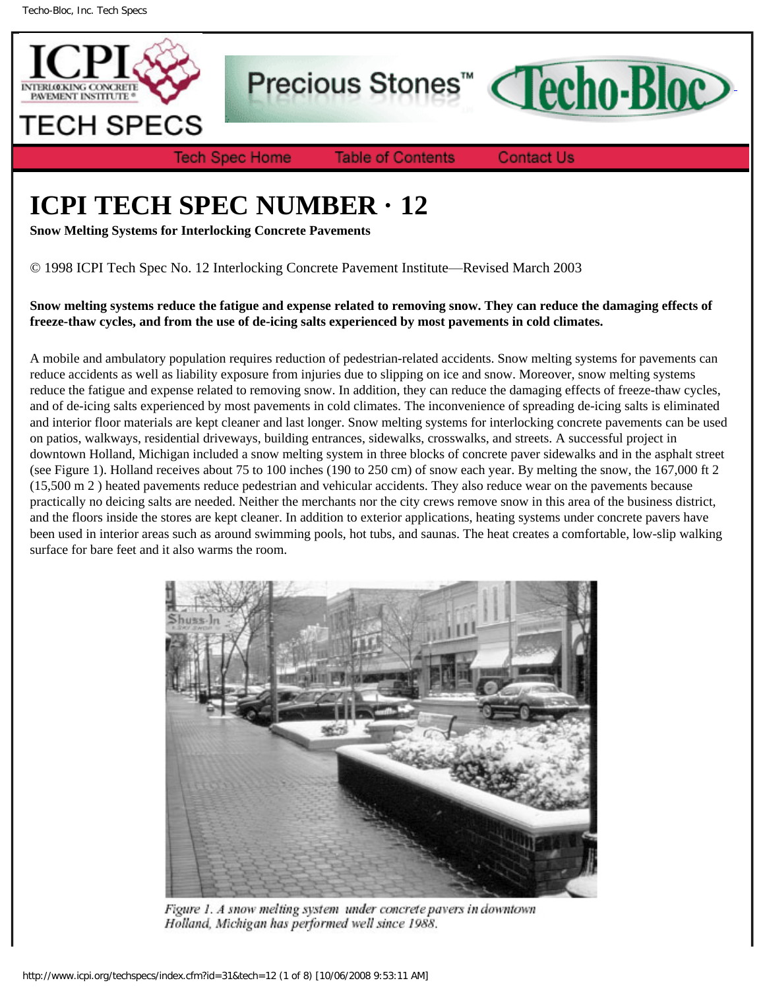

Precious Stones<sup>"</sup> Cecho-Bloc



**Table of Contents** 

**Contact Us** 

# **ICPI TECH SPEC NUMBER · 12**

**Snow Melting Systems for Interlocking Concrete Pavements**

© 1998 ICPI Tech Spec No. 12 Interlocking Concrete Pavement Institute—Revised March 2003

**Snow melting systems reduce the fatigue and expense related to removing snow. They can reduce the damaging effects of freeze-thaw cycles, and from the use of de-icing salts experienced by most pavements in cold climates.**

A mobile and ambulatory population requires reduction of pedestrian-related accidents. Snow melting systems for pavements can reduce accidents as well as liability exposure from injuries due to slipping on ice and snow. Moreover, snow melting systems reduce the fatigue and expense related to removing snow. In addition, they can reduce the damaging effects of freeze-thaw cycles, and of de-icing salts experienced by most pavements in cold climates. The inconvenience of spreading de-icing salts is eliminated and interior floor materials are kept cleaner and last longer. Snow melting systems for interlocking concrete pavements can be used on patios, walkways, residential driveways, building entrances, sidewalks, crosswalks, and streets. A successful project in downtown Holland, Michigan included a snow melting system in three blocks of concrete paver sidewalks and in the asphalt street (see Figure 1). Holland receives about 75 to 100 inches (190 to 250 cm) of snow each year. By melting the snow, the 167,000 ft 2 (15,500 m 2 ) heated pavements reduce pedestrian and vehicular accidents. They also reduce wear on the pavements because practically no deicing salts are needed. Neither the merchants nor the city crews remove snow in this area of the business district, and the floors inside the stores are kept cleaner. In addition to exterior applications, heating systems under concrete pavers have been used in interior areas such as around swimming pools, hot tubs, and saunas. The heat creates a comfortable, low-slip walking surface for bare feet and it also warms the room.



Figure 1. A snow melting system under concrete pavers in downtown Holland, Michigan has performed well since 1988.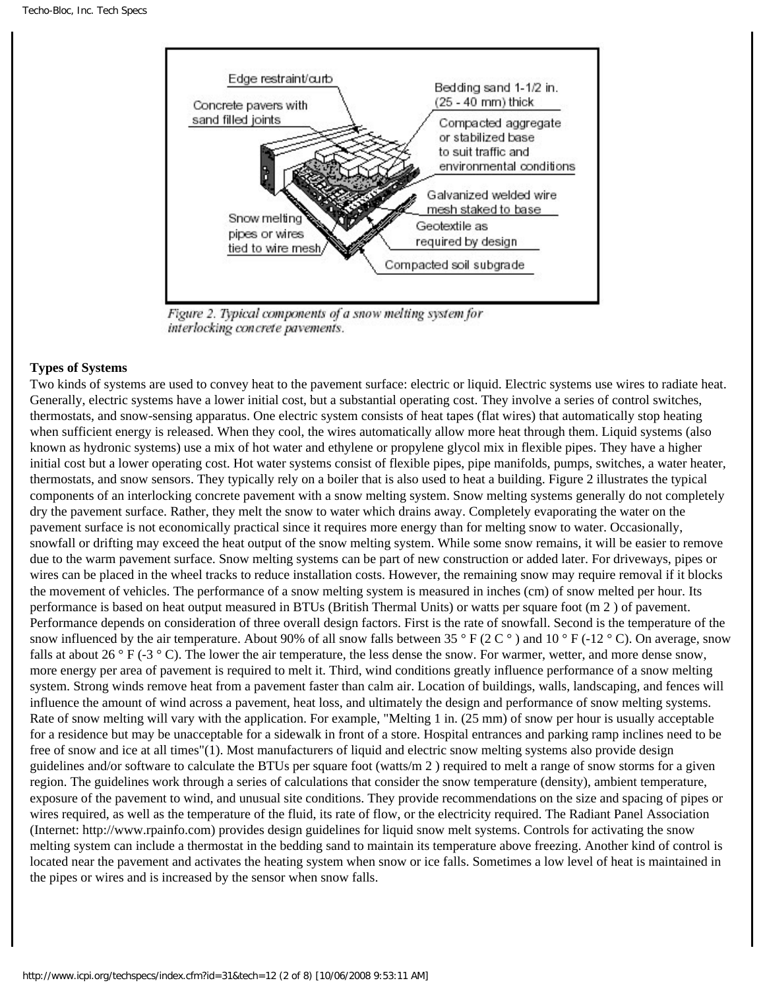

Figure 2. Typical components of a snow melting system for interlocking concrete pavements.

## **Types of Systems**

Two kinds of systems are used to convey heat to the pavement surface: electric or liquid. Electric systems use wires to radiate heat. Generally, electric systems have a lower initial cost, but a substantial operating cost. They involve a series of control switches, thermostats, and snow-sensing apparatus. One electric system consists of heat tapes (flat wires) that automatically stop heating when sufficient energy is released. When they cool, the wires automatically allow more heat through them. Liquid systems (also known as hydronic systems) use a mix of hot water and ethylene or propylene glycol mix in flexible pipes. They have a higher initial cost but a lower operating cost. Hot water systems consist of flexible pipes, pipe manifolds, pumps, switches, a water heater, thermostats, and snow sensors. They typically rely on a boiler that is also used to heat a building. Figure 2 illustrates the typical components of an interlocking concrete pavement with a snow melting system. Snow melting systems generally do not completely dry the pavement surface. Rather, they melt the snow to water which drains away. Completely evaporating the water on the pavement surface is not economically practical since it requires more energy than for melting snow to water. Occasionally, snowfall or drifting may exceed the heat output of the snow melting system. While some snow remains, it will be easier to remove due to the warm pavement surface. Snow melting systems can be part of new construction or added later. For driveways, pipes or wires can be placed in the wheel tracks to reduce installation costs. However, the remaining snow may require removal if it blocks the movement of vehicles. The performance of a snow melting system is measured in inches (cm) of snow melted per hour. Its performance is based on heat output measured in BTUs (British Thermal Units) or watts per square foot (m 2 ) of pavement. Performance depends on consideration of three overall design factors. First is the rate of snowfall. Second is the temperature of the snow influenced by the air temperature. About 90% of all snow falls between 35 ° F (2 C °) and 10 ° F (-12 ° C). On average, snow falls at about 26  $\degree$  F (-3  $\degree$  C). The lower the air temperature, the less dense the snow. For warmer, wetter, and more dense snow, more energy per area of pavement is required to melt it. Third, wind conditions greatly influence performance of a snow melting system. Strong winds remove heat from a pavement faster than calm air. Location of buildings, walls, landscaping, and fences will influence the amount of wind across a pavement, heat loss, and ultimately the design and performance of snow melting systems. Rate of snow melting will vary with the application. For example, "Melting 1 in. (25 mm) of snow per hour is usually acceptable for a residence but may be unacceptable for a sidewalk in front of a store. Hospital entrances and parking ramp inclines need to be free of snow and ice at all times"(1). Most manufacturers of liquid and electric snow melting systems also provide design guidelines and/or software to calculate the BTUs per square foot (watts/m 2 ) required to melt a range of snow storms for a given region. The guidelines work through a series of calculations that consider the snow temperature (density), ambient temperature, exposure of the pavement to wind, and unusual site conditions. They provide recommendations on the size and spacing of pipes or wires required, as well as the temperature of the fluid, its rate of flow, or the electricity required. The Radiant Panel Association (Internet: http://www.rpainfo.com) provides design guidelines for liquid snow melt systems. Controls for activating the snow melting system can include a thermostat in the bedding sand to maintain its temperature above freezing. Another kind of control is located near the pavement and activates the heating system when snow or ice falls. Sometimes a low level of heat is maintained in the pipes or wires and is increased by the sensor when snow falls.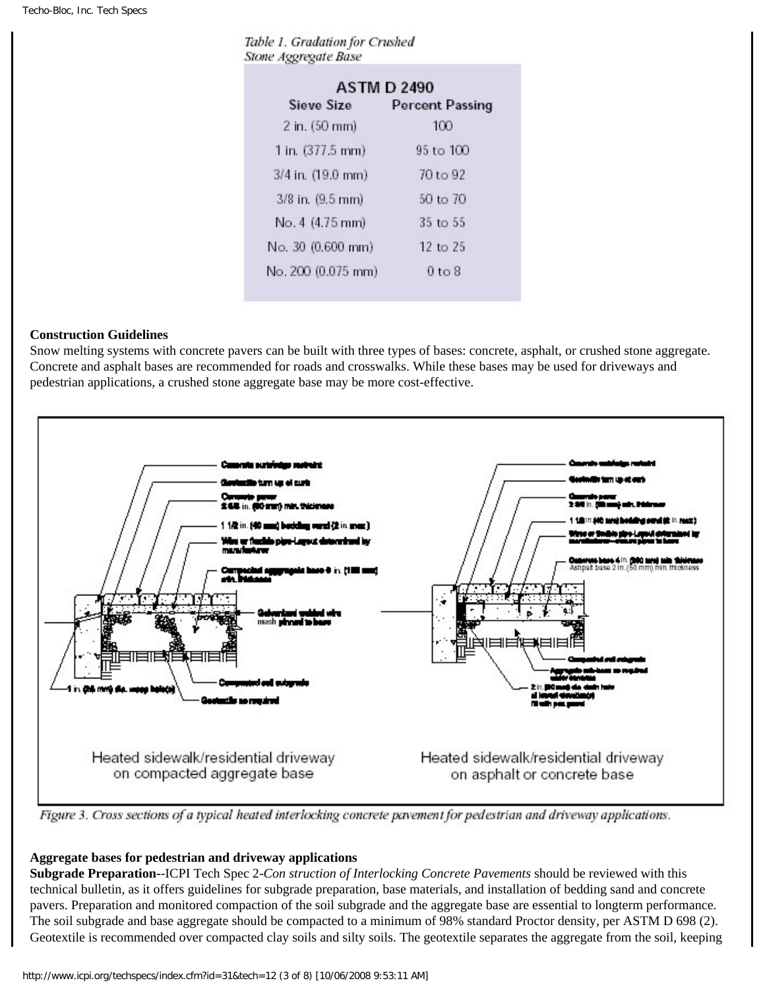|  | Table 1. Gradation for Crushed |  |
|--|--------------------------------|--|
|  | Stone Aggregate Base           |  |

| <b>ASTM D 2490</b>         |                        |  |  |  |
|----------------------------|------------------------|--|--|--|
| Sieve Size                 | <b>Percent Passing</b> |  |  |  |
| 2 in. (50 mm)              | 100                    |  |  |  |
| 1 in. $(377.5 \text{ mm})$ | $95 \text{ to } 100$   |  |  |  |
| 3/4 in. (19.0 mm)          | 70 to 92               |  |  |  |
| 3/8 in. (9.5 mm)           | 50 to 70               |  |  |  |
| No. 4 (4.75 mm)            | $35$ to $55$           |  |  |  |
| No. 30 (0.600 mm)          | $12 \text{ to } 25$    |  |  |  |
| No. 200 (0.075 mm)         | 0 <sub>to</sub> 8      |  |  |  |

#### **Construction Guidelines**

Snow melting systems with concrete pavers can be built with three types of bases: concrete, asphalt, or crushed stone aggregate. Concrete and asphalt bases are recommended for roads and crosswalks. While these bases may be used for driveways and pedestrian applications, a crushed stone aggregate base may be more cost-effective.



Figure 3. Cross sections of a typical heated interlocking concrete pavement for pedestrian and driveway applications.

## **Aggregate bases for pedestrian and driveway applications**

**Subgrade Preparation-**-ICPI Tech Spec 2*-Con struction of Interlocking Concrete Pavements* should be reviewed with this technical bulletin, as it offers guidelines for subgrade preparation, base materials, and installation of bedding sand and concrete pavers. Preparation and monitored compaction of the soil subgrade and the aggregate base are essential to longterm performance. The soil subgrade and base aggregate should be compacted to a minimum of 98% standard Proctor density, per ASTM D 698 (2). Geotextile is recommended over compacted clay soils and silty soils. The geotextile separates the aggregate from the soil, keeping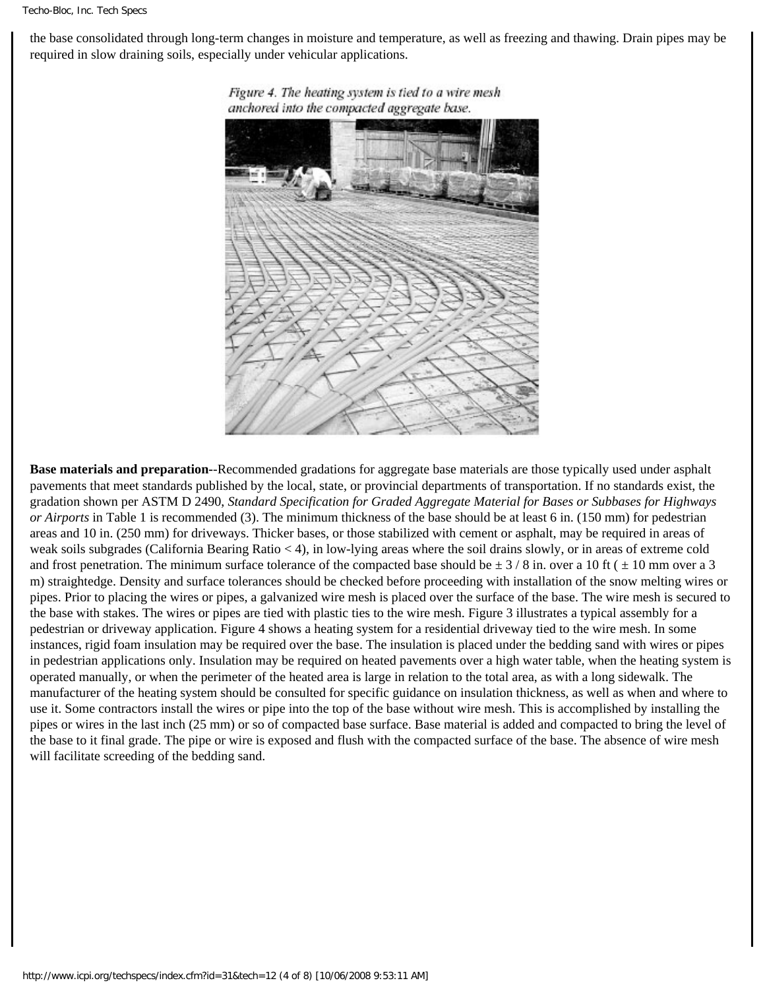the base consolidated through long-term changes in moisture and temperature, as well as freezing and thawing. Drain pipes may be required in slow draining soils, especially under vehicular applications.



Figure 4. The heating system is tied to a wire mesh anchored into the compacted aggregate base.

**Base materials and preparation-**-Recommended gradations for aggregate base materials are those typically used under asphalt pavements that meet standards published by the local, state, or provincial departments of transportation. If no standards exist, the gradation shown per ASTM D 2490, *Standard Specification for Graded Aggregate Material for Bases or Subbases for Highways or Airports* in Table 1 is recommended (3). The minimum thickness of the base should be at least 6 in. (150 mm) for pedestrian areas and 10 in. (250 mm) for driveways. Thicker bases, or those stabilized with cement or asphalt, may be required in areas of weak soils subgrades (California Bearing Ratio < 4), in low-lying areas where the soil drains slowly, or in areas of extreme cold and frost penetration. The minimum surface tolerance of the compacted base should be  $\pm$  3/8 in. over a 10 ft ( $\pm$  10 mm over a 3 m) straightedge. Density and surface tolerances should be checked before proceeding with installation of the snow melting wires or pipes. Prior to placing the wires or pipes, a galvanized wire mesh is placed over the surface of the base. The wire mesh is secured to the base with stakes. The wires or pipes are tied with plastic ties to the wire mesh. Figure 3 illustrates a typical assembly for a pedestrian or driveway application. Figure 4 shows a heating system for a residential driveway tied to the wire mesh. In some instances, rigid foam insulation may be required over the base. The insulation is placed under the bedding sand with wires or pipes in pedestrian applications only. Insulation may be required on heated pavements over a high water table, when the heating system is operated manually, or when the perimeter of the heated area is large in relation to the total area, as with a long sidewalk. The manufacturer of the heating system should be consulted for specific guidance on insulation thickness, as well as when and where to use it. Some contractors install the wires or pipe into the top of the base without wire mesh. This is accomplished by installing the pipes or wires in the last inch (25 mm) or so of compacted base surface. Base material is added and compacted to bring the level of the base to it final grade. The pipe or wire is exposed and flush with the compacted surface of the base. The absence of wire mesh will facilitate screeding of the bedding sand.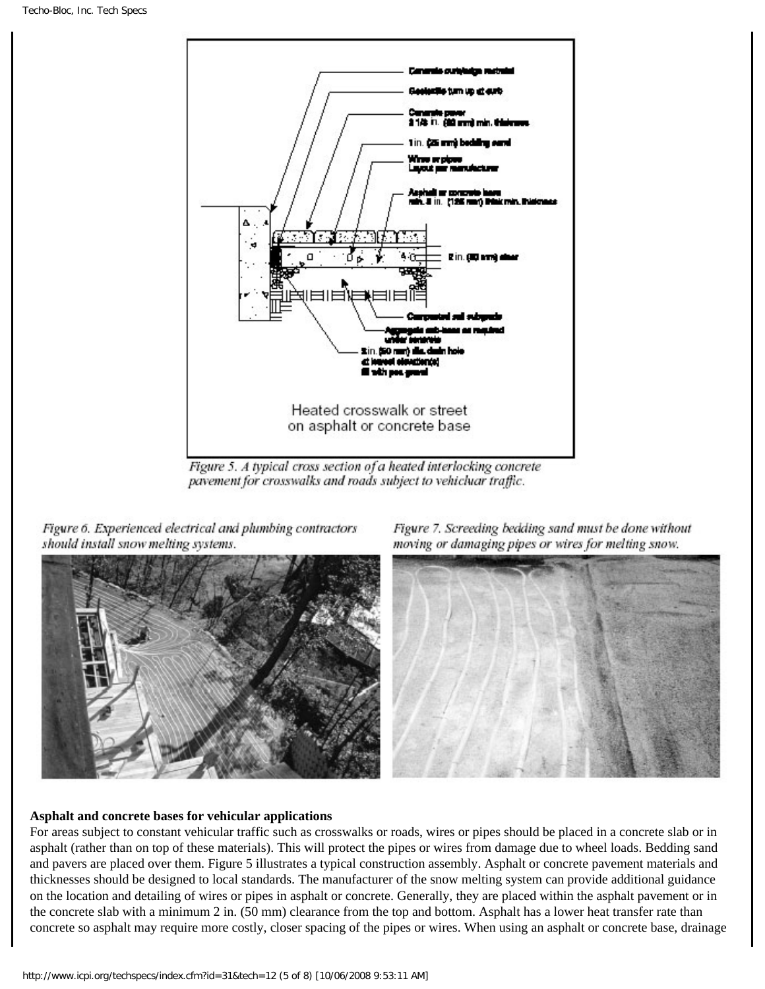

Figure 5. A typical cross section of a heated interlocking concrete pavement for crosswalks and roads subject to vehicluar traffic.

Figure 6. Experienced electrical and plumbing contractors should install snow melting systems.







#### **Asphalt and concrete bases for vehicular applications**

For areas subject to constant vehicular traffic such as crosswalks or roads, wires or pipes should be placed in a concrete slab or in asphalt (rather than on top of these materials). This will protect the pipes or wires from damage due to wheel loads. Bedding sand and pavers are placed over them. Figure 5 illustrates a typical construction assembly. Asphalt or concrete pavement materials and thicknesses should be designed to local standards. The manufacturer of the snow melting system can provide additional guidance on the location and detailing of wires or pipes in asphalt or concrete. Generally, they are placed within the asphalt pavement or in the concrete slab with a minimum 2 in. (50 mm) clearance from the top and bottom. Asphalt has a lower heat transfer rate than concrete so asphalt may require more costly, closer spacing of the pipes or wires. When using an asphalt or concrete base, drainage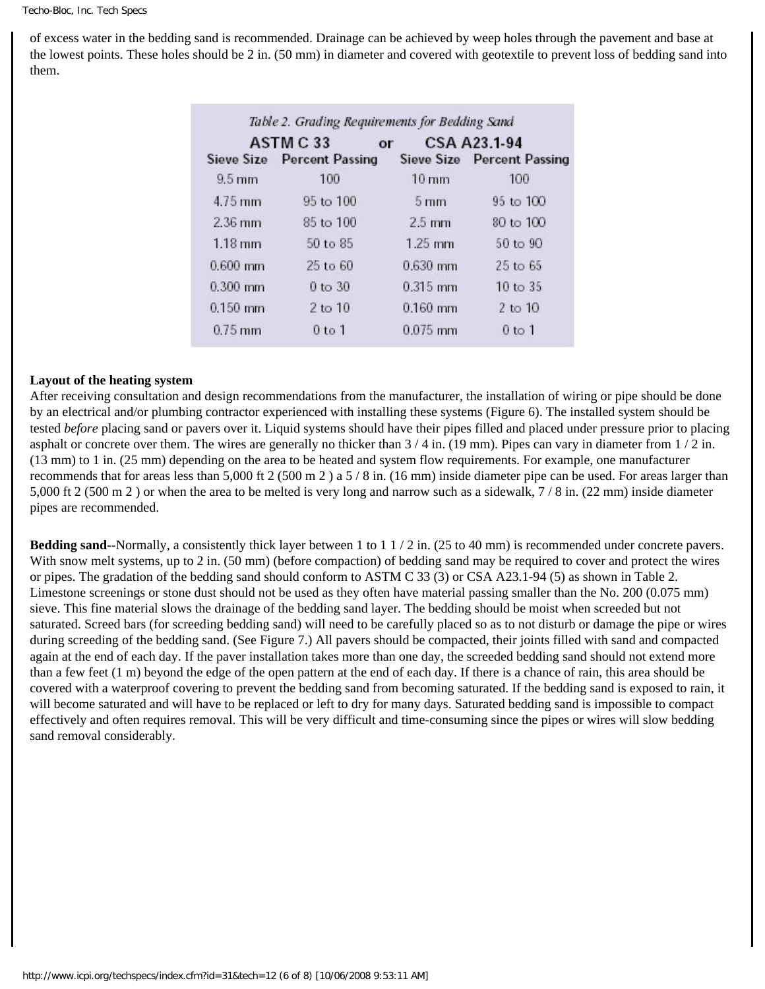of excess water in the bedding sand is recommended. Drainage can be achieved by weep holes through the pavement and base at the lowest points. These holes should be 2 in. (50 mm) in diameter and covered with geotextile to prevent loss of bedding sand into them.

| ASTM C 33<br>or   |                            |                 | CSA A23.1-94               |  |
|-------------------|----------------------------|-----------------|----------------------------|--|
|                   | Sieve Size Percent Passing |                 | Sieve Size Percent Passing |  |
| $9.5 \text{ mm}$  | 100                        | $10 \text{ mm}$ | 100                        |  |
| $4.75$ mm         | 95 to 100                  | $5 \text{ mm}$  | $95$ to $100$              |  |
| $2.36$ mm         | 85 to 100                  | $2.5$ mm        | $80$ to $100$              |  |
| $1.18 \text{ mm}$ | 50 to 85                   | $1.25$ mm       | $50 \text{ to } 90$        |  |
| $0.600$ mm        | 25 to 60                   | $0.630$ mm      | $25$ to $65$               |  |
| $0.300$ mm        | $0$ to $30$                | $0.315$ mm      | $10 \text{ to } 35$        |  |
| $0.150$ mm        | $2$ to $10$                | $0.160$ mm      | $2$ to $10$                |  |
| $0.75$ mm         | $0$ to $1$                 | $0.075$ mm      | $0$ to 1                   |  |

## **Layout of the heating system**

After receiving consultation and design recommendations from the manufacturer, the installation of wiring or pipe should be done by an electrical and/or plumbing contractor experienced with installing these systems (Figure 6). The installed system should be tested *before* placing sand or pavers over it. Liquid systems should have their pipes filled and placed under pressure prior to placing asphalt or concrete over them. The wires are generally no thicker than  $3/4$  in. (19 mm). Pipes can vary in diameter from  $1/2$  in. (13 mm) to 1 in. (25 mm) depending on the area to be heated and system flow requirements. For example, one manufacturer recommends that for areas less than 5,000 ft 2 (500 m 2) a  $5/8$  in. (16 mm) inside diameter pipe can be used. For areas larger than 5,000 ft 2 (500 m 2 ) or when the area to be melted is very long and narrow such as a sidewalk, 7 / 8 in. (22 mm) inside diameter pipes are recommended.

**Bedding sand--Normally, a consistently thick layer between 1 to 1**  $\frac{1}{2}$  **in. (25 to 40 mm) is recommended under concrete pavers.** With snow melt systems, up to 2 in. (50 mm) (before compaction) of bedding sand may be required to cover and protect the wires or pipes. The gradation of the bedding sand should conform to ASTM C 33 (3) or CSA A23.1-94 (5) as shown in Table 2. Limestone screenings or stone dust should not be used as they often have material passing smaller than the No. 200 (0.075 mm) sieve. This fine material slows the drainage of the bedding sand layer. The bedding should be moist when screeded but not saturated. Screed bars (for screeding bedding sand) will need to be carefully placed so as to not disturb or damage the pipe or wires during screeding of the bedding sand. (See Figure 7.) All pavers should be compacted, their joints filled with sand and compacted again at the end of each day. If the paver installation takes more than one day, the screeded bedding sand should not extend more than a few feet (1 m) beyond the edge of the open pattern at the end of each day. If there is a chance of rain, this area should be covered with a waterproof covering to prevent the bedding sand from becoming saturated. If the bedding sand is exposed to rain, it will become saturated and will have to be replaced or left to dry for many days. Saturated bedding sand is impossible to compact effectively and often requires removal. This will be very difficult and time-consuming since the pipes or wires will slow bedding sand removal considerably.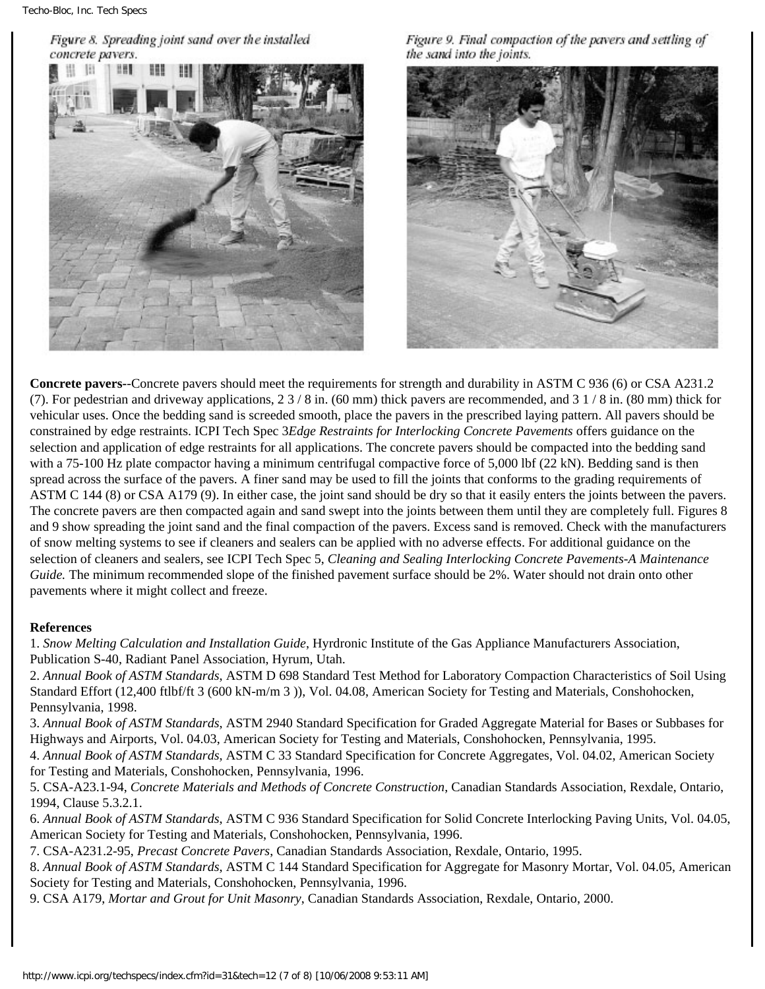Figure 8. Spreading joint sand over the installed concrete pavers.



Figure 9. Final compaction of the pavers and settling of the sand into the joints.



**Concrete pavers-**-Concrete pavers should meet the requirements for strength and durability in ASTM C 936 (6) or CSA A231.2 (7). For pedestrian and driveway applications,  $23/8$  in. (60 mm) thick pavers are recommended, and  $31/8$  in. (80 mm) thick for vehicular uses. Once the bedding sand is screeded smooth, place the pavers in the prescribed laying pattern. All pavers should be constrained by edge restraints. ICPI Tech Spec 3*Edge Restraints for Interlocking Concrete Pavements* offers guidance on the selection and application of edge restraints for all applications. The concrete pavers should be compacted into the bedding sand with a 75-100 Hz plate compactor having a minimum centrifugal compactive force of 5,000 lbf (22 kN). Bedding sand is then spread across the surface of the pavers. A finer sand may be used to fill the joints that conforms to the grading requirements of ASTM C 144 (8) or CSA A179 (9). In either case, the joint sand should be dry so that it easily enters the joints between the pavers. The concrete pavers are then compacted again and sand swept into the joints between them until they are completely full. Figures 8 and 9 show spreading the joint sand and the final compaction of the pavers. Excess sand is removed. Check with the manufacturers of snow melting systems to see if cleaners and sealers can be applied with no adverse effects. For additional guidance on the selection of cleaners and sealers, see ICPI Tech Spec 5, *Cleaning and Sealing Interlocking Concrete Pavements-A Maintenance Guide.* The minimum recommended slope of the finished pavement surface should be 2%. Water should not drain onto other pavements where it might collect and freeze.

#### **References**

- 1. *Snow Melting Calculation and Installation Guide*, Hyrdronic Institute of the Gas Appliance Manufacturers Association, Publication S-40, Radiant Panel Association, Hyrum, Utah.
- 2. *Annual Book of ASTM Standards*, ASTM D 698 Standard Test Method for Laboratory Compaction Characteristics of Soil Using Standard Effort (12,400 ftlbf/ft 3 (600 kN-m/m 3 )), Vol. 04.08, American Society for Testing and Materials, Conshohocken, Pennsylvania, 1998.
- 3. *Annual Book of ASTM Standards*, ASTM 2940 Standard Specification for Graded Aggregate Material for Bases or Subbases for Highways and Airports, Vol. 04.03, American Society for Testing and Materials, Conshohocken, Pennsylvania, 1995.
- 4. *Annual Book of ASTM Standards*, ASTM C 33 Standard Specification for Concrete Aggregates, Vol. 04.02, American Society for Testing and Materials, Conshohocken, Pennsylvania, 1996.
- 5. CSA-A23.1-94, *Concrete Materials and Methods of Concrete Construction*, Canadian Standards Association, Rexdale, Ontario, 1994, Clause 5.3.2.1.
- 6. *Annual Book of ASTM Standards*, ASTM C 936 Standard Specification for Solid Concrete Interlocking Paving Units, Vol. 04.05, American Society for Testing and Materials, Conshohocken, Pennsylvania, 1996.
- 7. CSA-A231.2-95, *Precast Concrete Pavers*, Canadian Standards Association, Rexdale, Ontario, 1995.
- 8. *Annual Book of ASTM Standards*, ASTM C 144 Standard Specification for Aggregate for Masonry Mortar, Vol. 04.05, American Society for Testing and Materials, Conshohocken, Pennsylvania, 1996.
- 9. CSA A179, *Mortar and Grout for Unit Masonry*, Canadian Standards Association, Rexdale, Ontario, 2000.